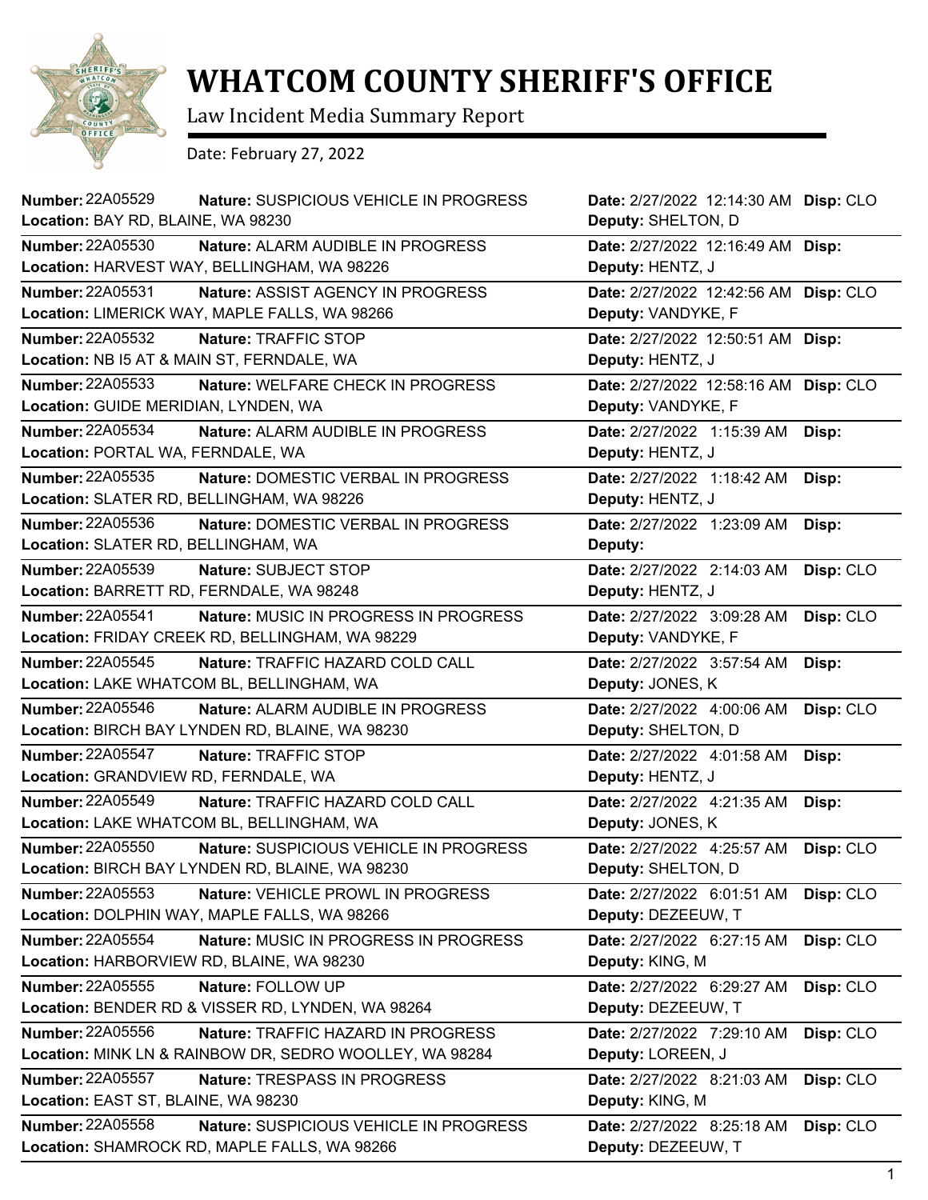

## **WHATCOM COUNTY SHERIFF'S OFFICE**

Law Incident Media Summary Report

Date: February 27, 2022

| <b>Number: 22A05529</b><br>Location: BAY RD, BLAINE, WA 98230        | Nature: SUSPICIOUS VEHICLE IN PROGRESS                  | Date: 2/27/2022 12:14:30 AM Disp: CLO<br>Deputy: SHELTON, D |           |
|----------------------------------------------------------------------|---------------------------------------------------------|-------------------------------------------------------------|-----------|
| <b>Number: 22A05530</b>                                              | Nature: ALARM AUDIBLE IN PROGRESS                       | Date: 2/27/2022 12:16:49 AM Disp:                           |           |
| Location: HARVEST WAY, BELLINGHAM, WA 98226                          |                                                         | Deputy: HENTZ, J                                            |           |
| Number: 22A05531<br>Location: LIMERICK WAY, MAPLE FALLS, WA 98266    | Nature: ASSIST AGENCY IN PROGRESS                       | Date: 2/27/2022 12:42:56 AM<br>Deputy: VANDYKE, F           | Disp: CLO |
| Number: 22A05532                                                     | Nature: TRAFFIC STOP                                    | Date: 2/27/2022 12:50:51 AM Disp:                           |           |
| Location: NB I5 AT & MAIN ST, FERNDALE, WA                           |                                                         | Deputy: HENTZ, J                                            |           |
| <b>Number: 22A05533</b>                                              | Nature: WELFARE CHECK IN PROGRESS                       | Date: 2/27/2022 12:58:16 AM                                 | Disp: CLO |
| Location: GUIDE MERIDIAN, LYNDEN, WA                                 |                                                         | Deputy: VANDYKE, F                                          |           |
| Number: 22A05534                                                     | Nature: ALARM AUDIBLE IN PROGRESS                       | Date: 2/27/2022 1:15:39 AM                                  | Disp:     |
| Location: PORTAL WA, FERNDALE, WA                                    |                                                         | Deputy: HENTZ, J                                            |           |
| <b>Number: 22A05535</b><br>Location: SLATER RD, BELLINGHAM, WA 98226 | Nature: DOMESTIC VERBAL IN PROGRESS                     | Date: 2/27/2022 1:18:42 AM<br>Deputy: HENTZ, J              | Disp:     |
| Number: 22A05536                                                     | Nature: DOMESTIC VERBAL IN PROGRESS                     | Date: 2/27/2022 1:23:09 AM                                  | Disp:     |
| Location: SLATER RD, BELLINGHAM, WA                                  |                                                         | Deputy:                                                     |           |
| Number: 22A05539                                                     | Nature: SUBJECT STOP                                    | Date: 2/27/2022 2:14:03 AM                                  | Disp: CLO |
| Location: BARRETT RD, FERNDALE, WA 98248                             |                                                         | Deputy: HENTZ, J                                            |           |
| <b>Number: 22A05541</b>                                              | Nature: MUSIC IN PROGRESS IN PROGRESS                   | Date: 2/27/2022 3:09:28 AM                                  | Disp: CLO |
|                                                                      | Location: FRIDAY CREEK RD, BELLINGHAM, WA 98229         | Deputy: VANDYKE, F                                          |           |
| Number: 22A05545                                                     | Nature: TRAFFIC HAZARD COLD CALL                        | Date: 2/27/2022 3:57:54 AM                                  | Disp:     |
| Location: LAKE WHATCOM BL, BELLINGHAM, WA                            |                                                         | Deputy: JONES, K                                            |           |
| <b>Number: 22A05546</b>                                              | Nature: ALARM AUDIBLE IN PROGRESS                       | Date: 2/27/2022 4:00:06 AM                                  | Disp: CLO |
|                                                                      | Location: BIRCH BAY LYNDEN RD, BLAINE, WA 98230         | Deputy: SHELTON, D                                          |           |
| <b>Number: 22A05547</b>                                              | Nature: TRAFFIC STOP                                    | Date: 2/27/2022 4:01:58 AM                                  | Disp:     |
| Location: GRANDVIEW RD, FERNDALE, WA                                 |                                                         | Deputy: HENTZ, J                                            |           |
| <b>Number: 22A05549</b><br>Location: LAKE WHATCOM BL, BELLINGHAM, WA | Nature: TRAFFIC HAZARD COLD CALL                        | Date: 2/27/2022 4:21:35 AM<br>Deputy: JONES, K              | Disp:     |
| Number: 22A05550                                                     | Nature: SUSPICIOUS VEHICLE IN PROGRESS                  | Date: 2/27/2022 4:25:57 AM                                  | Disp: CLO |
|                                                                      | Location: BIRCH BAY LYNDEN RD, BLAINE, WA 98230         | Deputy: SHELTON, D                                          |           |
| <b>Number: 22A05553</b>                                              | Nature: VEHICLE PROWL IN PROGRESS                       | Date: 2/27/2022 6:01:51 AM                                  | Disp: CLO |
| Location: DOLPHIN WAY, MAPLE FALLS, WA 98266                         |                                                         | Deputy: DEZEEUW, T                                          |           |
| Number: 22A05554                                                     | Nature: MUSIC IN PROGRESS IN PROGRESS                   | Date: 2/27/2022 6:27:15 AM                                  | Disp: CLO |
| Location: HARBORVIEW RD, BLAINE, WA 98230                            |                                                         | Deputy: KING, M                                             |           |
| <b>Number: 22A05555</b>                                              | Nature: FOLLOW UP                                       | Date: 2/27/2022 6:29:27 AM                                  | Disp: CLO |
|                                                                      | Location: BENDER RD & VISSER RD, LYNDEN, WA 98264       | Deputy: DEZEEUW, T                                          |           |
| Number: 22A05556                                                     | Nature: TRAFFIC HAZARD IN PROGRESS                      | Date: 2/27/2022 7:29:10 AM                                  | Disp: CLO |
|                                                                      | Location: MINK LN & RAINBOW DR, SEDRO WOOLLEY, WA 98284 | Deputy: LOREEN, J                                           |           |
| <b>Number: 22A05557</b>                                              | Nature: TRESPASS IN PROGRESS                            | Date: 2/27/2022 8:21:03 AM                                  | Disp: CLO |
| Location: EAST ST, BLAINE, WA 98230                                  |                                                         | Deputy: KING, M                                             |           |
| <b>Number: 22A05558</b>                                              | Nature: SUSPICIOUS VEHICLE IN PROGRESS                  | Date: 2/27/2022 8:25:18 AM                                  | Disp: CLO |
|                                                                      | Location: SHAMROCK RD, MAPLE FALLS, WA 98266            | Deputy: DEZEEUW, T                                          |           |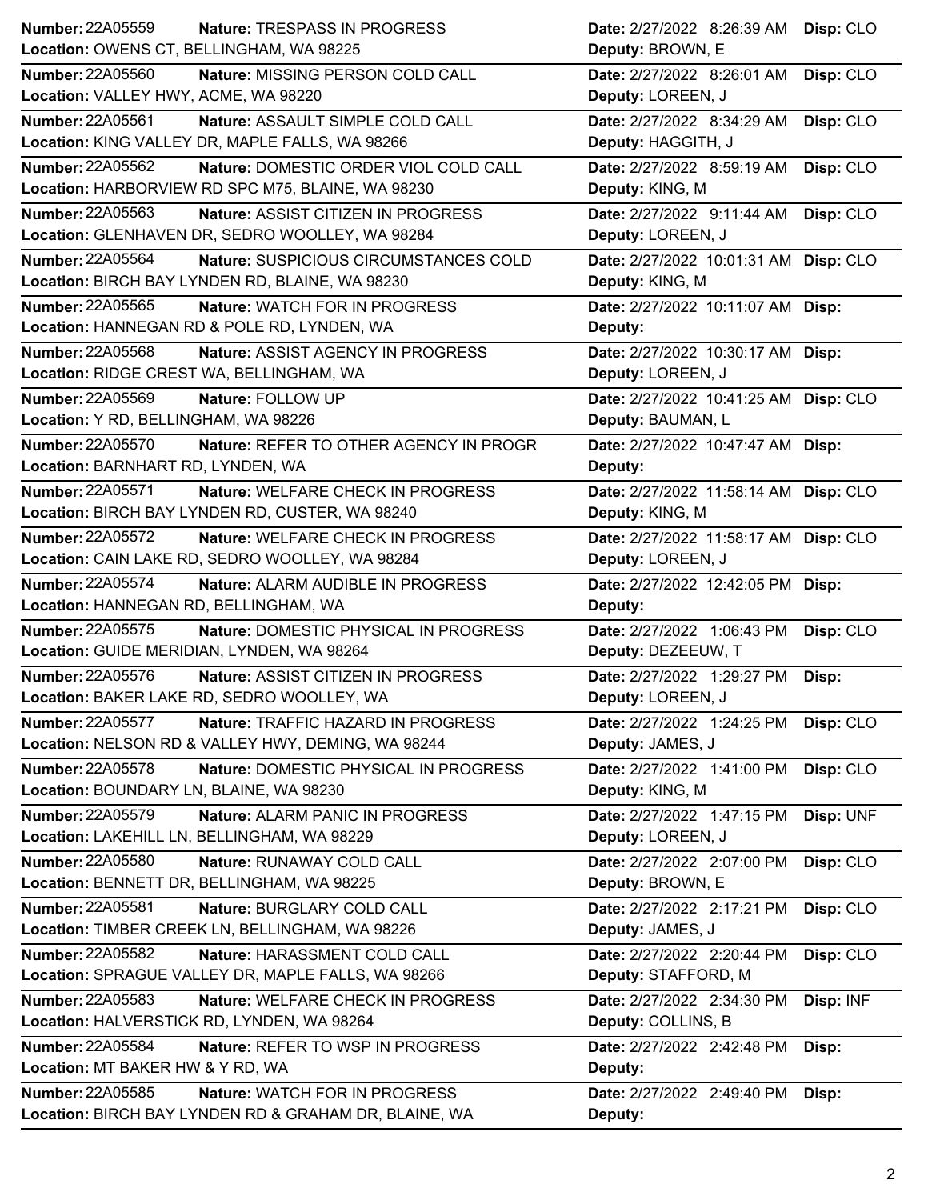| <b>Number: 22A05559</b><br>Nature: TRESPASS IN PROGRESS                                                    | Date: 2/27/2022 8:26:39 AM Disp: CLO                           |
|------------------------------------------------------------------------------------------------------------|----------------------------------------------------------------|
| Location: OWENS CT, BELLINGHAM, WA 98225                                                                   | Deputy: BROWN, E                                               |
| <b>Number: 22A05560</b><br>Nature: MISSING PERSON COLD CALL                                                | Date: 2/27/2022 8:26:01 AM<br>Disp: CLO                        |
| Location: VALLEY HWY, ACME, WA 98220                                                                       | Deputy: LOREEN, J                                              |
| <b>Number: 22A05561</b><br>Nature: ASSAULT SIMPLE COLD CALL                                                | Date: 2/27/2022 8:34:29 AM<br>Disp: CLO                        |
| Location: KING VALLEY DR, MAPLE FALLS, WA 98266                                                            | Deputy: HAGGITH, J                                             |
| <b>Number: 22A05562</b><br>Nature: DOMESTIC ORDER VIOL COLD CALL                                           | Date: 2/27/2022 8:59:19 AM<br>Disp: CLO                        |
| Location: HARBORVIEW RD SPC M75, BLAINE, WA 98230                                                          | Deputy: KING, M                                                |
| Number: 22A05563<br>Nature: ASSIST CITIZEN IN PROGRESS                                                     | Date: 2/27/2022 9:11:44 AM Disp: CLO                           |
| Location: GLENHAVEN DR, SEDRO WOOLLEY, WA 98284                                                            | Deputy: LOREEN, J                                              |
| <b>Number: 22A05564</b><br>Nature: SUSPICIOUS CIRCUMSTANCES COLD                                           | Date: 2/27/2022 10:01:31 AM Disp: CLO                          |
| Location: BIRCH BAY LYNDEN RD, BLAINE, WA 98230                                                            | Deputy: KING, M                                                |
| <b>Number: 22A05565</b><br>Nature: WATCH FOR IN PROGRESS                                                   | Date: 2/27/2022 10:11:07 AM Disp:                              |
| Location: HANNEGAN RD & POLE RD, LYNDEN, WA                                                                | Deputy:                                                        |
| <b>Number: 22A05568</b><br>Nature: ASSIST AGENCY IN PROGRESS                                               | Date: 2/27/2022 10:30:17 AM Disp:                              |
| Location: RIDGE CREST WA, BELLINGHAM, WA                                                                   | Deputy: LOREEN, J                                              |
| <b>Number: 22A05569</b><br>Nature: FOLLOW UP                                                               | Date: 2/27/2022 10:41:25 AM Disp: CLO                          |
| Location: Y RD, BELLINGHAM, WA 98226                                                                       | Deputy: BAUMAN, L                                              |
| Number: 22A05570<br>Nature: REFER TO OTHER AGENCY IN PROGR                                                 | Date: 2/27/2022 10:47:47 AM Disp:                              |
| Location: BARNHART RD, LYNDEN, WA                                                                          | Deputy:                                                        |
| <b>Number: 22A05571</b><br><b>Nature: WELFARE CHECK IN PROGRESS</b>                                        | Date: 2/27/2022 11:58:14 AM Disp: CLO                          |
| Location: BIRCH BAY LYNDEN RD, CUSTER, WA 98240                                                            | Deputy: KING, M                                                |
| <b>Number: 22A05572</b><br><b>Nature: WELFARE CHECK IN PROGRESS</b>                                        | Date: 2/27/2022 11:58:17 AM Disp: CLO                          |
| Location: CAIN LAKE RD, SEDRO WOOLLEY, WA 98284                                                            | Deputy: LOREEN, J                                              |
| <b>Number: 22A05574</b><br>Nature: ALARM AUDIBLE IN PROGRESS                                               | Date: 2/27/2022 12:42:05 PM Disp:                              |
|                                                                                                            |                                                                |
| Location: HANNEGAN RD, BELLINGHAM, WA                                                                      | Deputy:                                                        |
| <b>Number: 22A05575</b><br>Nature: DOMESTIC PHYSICAL IN PROGRESS                                           | Date: 2/27/2022 1:06:43 PM<br>Disp: CLO                        |
| Location: GUIDE MERIDIAN, LYNDEN, WA 98264                                                                 | Deputy: DEZEEUW, T                                             |
| <b>Number: 22A05576</b><br>Nature: ASSIST CITIZEN IN PROGRESS                                              | Date: 2/27/2022 1:29:27 PM<br>Disp:                            |
| Location: BAKER LAKE RD, SEDRO WOOLLEY, WA                                                                 | Deputy: LOREEN, J                                              |
| Number: 22A05577<br>Nature: TRAFFIC HAZARD IN PROGRESS                                                     | Date: 2/27/2022 1:24:25 PM<br>Disp: CLO                        |
| Location: NELSON RD & VALLEY HWY, DEMING, WA 98244                                                         | Deputy: JAMES, J                                               |
| Number: 22A05578<br>Nature: DOMESTIC PHYSICAL IN PROGRESS                                                  | Date: 2/27/2022 1:41:00 PM<br>Disp: CLO                        |
| Location: BOUNDARY LN, BLAINE, WA 98230                                                                    | Deputy: KING, M                                                |
| Number: 22A05579<br><b>Nature: ALARM PANIC IN PROGRESS</b>                                                 | Date: 2/27/2022 1:47:15 PM                                     |
| Location: LAKEHILL LN, BELLINGHAM, WA 98229                                                                | Disp: UNF<br>Deputy: LOREEN, J                                 |
| <b>Number: 22A05580</b>                                                                                    |                                                                |
| Nature: RUNAWAY COLD CALL<br>Location: BENNETT DR, BELLINGHAM, WA 98225                                    | Date: 2/27/2022 2:07:00 PM<br>Disp: CLO<br>Deputy: BROWN, E    |
| Number: 22A05581                                                                                           |                                                                |
| Nature: BURGLARY COLD CALL<br>Location: TIMBER CREEK LN, BELLINGHAM, WA 98226                              | Date: 2/27/2022 2:17:21 PM<br>Disp: CLO<br>Deputy: JAMES, J    |
| Number: 22A05582                                                                                           |                                                                |
| Nature: HARASSMENT COLD CALL<br>Location: SPRAGUE VALLEY DR, MAPLE FALLS, WA 98266                         | Date: 2/27/2022 2:20:44 PM<br>Disp: CLO<br>Deputy: STAFFORD, M |
|                                                                                                            |                                                                |
| Number: 22A05583<br>Nature: WELFARE CHECK IN PROGRESS<br>Location: HALVERSTICK RD, LYNDEN, WA 98264        | Disp: INF<br>Date: 2/27/2022 2:34:30 PM                        |
|                                                                                                            | Deputy: COLLINS, B                                             |
| <b>Number: 22A05584</b><br>Nature: REFER TO WSP IN PROGRESS                                                | Date: 2/27/2022 2:42:48 PM<br>Disp:                            |
| Location: MT BAKER HW & Y RD, WA                                                                           | Deputy:                                                        |
| Number: 22A05585<br>Nature: WATCH FOR IN PROGRESS<br>Location: BIRCH BAY LYNDEN RD & GRAHAM DR, BLAINE, WA | Date: 2/27/2022 2:49:40 PM<br>Disp:<br>Deputy:                 |